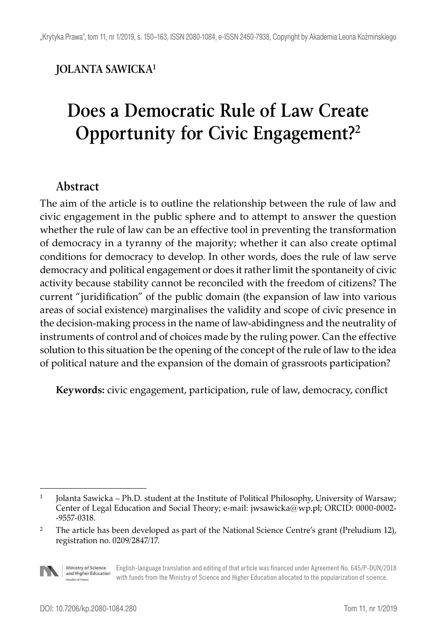## **JOLANTA SAWICKA1**

## **Does a Democratic Rule of Law Create Opportunity for Civic Engagement?2**

## **Abstract**

The aim of the article is to outline the relationship between the rule of law and civic engagement in the public sphere and to attempt to answer the question whether the rule of law can be an effective tool in preventing the transformation of democracy in a tyranny of the majority; whether it can also create optimal conditions for democracy to develop. In other words, does the rule of law serve democracy and political engagement or does it rather limit the spontaneity of civic activity because stability cannot be reconciled with the freedom of citizens? The current "juridification" of the public domain (the expansion of law into various areas of social existence) marginalises the validity and scope of civic presence in the decision-making process in the name of law-abidingness and the neutrality of instruments of control and of choices made by the ruling power. Can the effective solution to this situation be the opening of the concept of the rule of law to the idea of political nature and the expansion of the domain of grassroots participation?

**Keywords:** civic engagement, participation, rule of law, democracy, conflict

<sup>&</sup>lt;sup>2</sup> The article has been developed as part of the National Science Centre's grant (Preludium 12), registration no. 0209/2847/17.



Ministry of Science English-language translation and editing of that article was financed under Agreement No. 645/P-DUN/2018 and Higher Education with funds from the Ministry of Science and Higher Education allocated to the popularization of science.

<sup>&</sup>lt;sup>1</sup> Jolanta Sawicka – Ph.D. student at the Institute of Political Philosophy, University of Warsaw; Center of Legal Education and Social Theory; e-mail: jwsawicka@wp.pl; ORCID: 0000-0002- -9557-0318.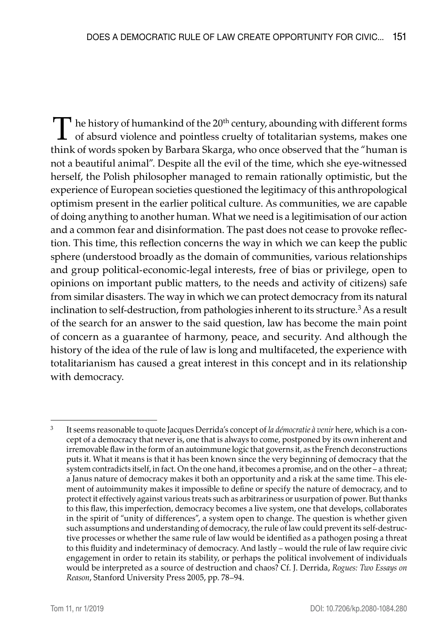$\prod$  he history of humankind of the 20<sup>th</sup> century, abounding with different forms of absurd violence and pointless cruelty of totalitarian systems, makes one highly formation by Parks of Change and a gauge changed that t think of words spoken by Barbara Skarga, who once observed that the "human is not a beautiful animal". Despite all the evil of the time, which she eye-witnessed herself, the Polish philosopher managed to remain rationally optimistic, but the experience of European societies questioned the legitimacy of this anthropological optimism present in the earlier political culture. As communities, we are capable of doing anything to another human. What we need is a legitimisation of our action and a common fear and disinformation. The past does not cease to provoke reflection. This time, this reflection concerns the way in which we can keep the public sphere (understood broadly as the domain of communities, various relationships and group political-economic-legal interests, free of bias or privilege, open to opinions on important public matters, to the needs and activity of citizens) safe from similar disasters. The way in which we can protect democracy from its natural inclination to self-destruction, from pathologies inherent to its structure.<sup>3</sup> As a result of the search for an answer to the said question, law has become the main point of concern as a guarantee of harmony, peace, and security. And although the history of the idea of the rule of law is long and multifaceted, the experience with totalitarianism has caused a great interest in this concept and in its relationship with democracy.

<sup>3</sup> It seems reasonable to quote Jacques Derrida's concept of *la démocratie à venir* here, which is a concept of a democracy that never is, one that is always to come, postponed by its own inherent and irremovable flaw in the form of an autoimmune logic that governs it, as the French deconstructions puts it. What it means is that it has been known since the very beginning of democracy that the system contradicts itself, in fact. On the one hand, it becomes a promise, and on the other – a threat; a Janus nature of democracy makes it both an opportunity and a risk at the same time. This element of autoimmunity makes it impossible to define or specify the nature of democracy, and to protect it effectively against various treats such as arbitrariness or usurpation of power. But thanks to this flaw, this imperfection, democracy becomes a live system, one that develops, collaborates in the spirit of "unity of differences", a system open to change. The question is whether given such assumptions and understanding of democracy, the rule of law could prevent its self-destructive processes or whether the same rule of law would be identified as a pathogen posing a threat to this fluidity and indeterminacy of democracy. And lastly – would the rule of law require civic engagement in order to retain its stability, or perhaps the political involvement of individuals would be interpreted as a source of destruction and chaos? Cf. J. Derrida, *Rogues: Two Essays on Reason*, Stanford University Press 2005, pp. 78–94.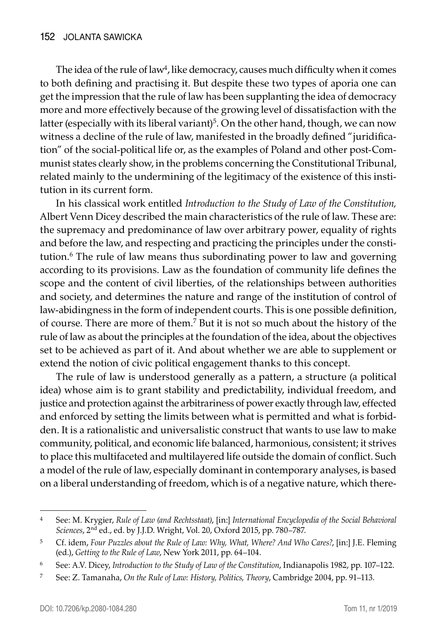The idea of the rule of law<sup>4</sup>, like democracy, causes much difficulty when it comes to both defining and practising it. But despite these two types of aporia one can get the impression that the rule of law has been supplanting the idea of democracy more and more effectively because of the growing level of dissatisfaction with the latter (especially with its liberal variant)<sup>5</sup>. On the other hand, though, we can now witness a decline of the rule of law, manifested in the broadly defined "juridification" of the social-political life or, as the examples of Poland and other post-Communist states clearly show, in the problems concerning the Constitutional Tribunal, related mainly to the undermining of the legitimacy of the existence of this institution in its current form.

In his classical work entitled *Introduction to the Study of Law of the Constitution,* Albert Venn Dicey described the main characteristics of the rule of law. These are: the supremacy and predominance of law over arbitrary power, equality of rights and before the law, and respecting and practicing the principles under the constitution.<sup>6</sup> The rule of law means thus subordinating power to law and governing according to its provisions. Law as the foundation of community life defines the scope and the content of civil liberties, of the relationships between authorities and society, and determines the nature and range of the institution of control of law-abidingness in the form of independent courts. This is one possible definition, of course. There are more of them.<sup>7</sup> But it is not so much about the history of the rule of law as about the principles at the foundation of the idea, about the objectives set to be achieved as part of it. And about whether we are able to supplement or extend the notion of civic political engagement thanks to this concept.

The rule of law is understood generally as a pattern, a structure (a political idea) whose aim is to grant stability and predictability, individual freedom, and justice and protection against the arbitrariness of power exactly through law, effected and enforced by setting the limits between what is permitted and what is forbidden. It is a rationalistic and universalistic construct that wants to use law to make community, political, and economic life balanced, harmonious, consistent; it strives to place this multifaceted and multilayered life outside the domain of conflict. Such a model of the rule of law, especially dominant in contemporary analyses, is based on a liberal understanding of freedom, which is of a negative nature, which there-

<sup>4</sup> See: M. Krygier, *Rule of Law (and Rechtsstaat)*, [in:] *International Encyclopedia of the Social Behavioral Sciences*, 2nd ed., ed. by J.J.D. Wright, Vol. 20, Oxford 2015, pp. 780–787.

<sup>5</sup> Cf. idem, *Four Puzzles about the Rule of Law: Why, What, Where? And Who Cares?*, [in:] J.E. Fleming (ed.), *Getting to the Rule of Law*, New York 2011, pp. 64–104.

<sup>6</sup> See: A.V. Dicey, *Introduction to the Study of Law of the Constitution*, Indianapolis 1982, pp. 107–122.

<sup>7</sup> See: Z. Tamanaha, *On the Rule of Law: History, Politics, Theory*, Cambridge 2004, pp. 91–113.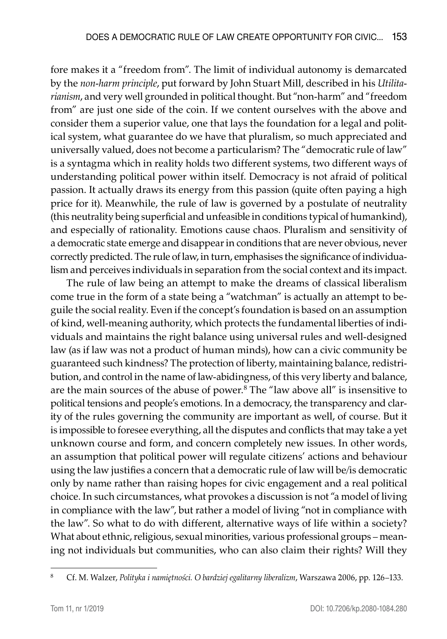fore makes it a "freedom from". The limit of individual autonomy is demarcated by the *non-harm principle*, put forward by John Stuart Mill, described in his *Utilitarianism*, and very well grounded in political thought. But "non-harm" and "freedom from" are just one side of the coin. If we content ourselves with the above and consider them a superior value, one that lays the foundation for a legal and political system, what guarantee do we have that pluralism, so much appreciated and universally valued, does not become a particularism? The "democratic rule of law" is a syntagma which in reality holds two different systems, two different ways of understanding political power within itself. Democracy is not afraid of political passion. It actually draws its energy from this passion (quite often paying a high price for it). Meanwhile, the rule of law is governed by a postulate of neutrality (this neutrality being superficial and unfeasible in conditions typical of humankind), and especially of rationality. Emotions cause chaos. Pluralism and sensitivity of a democratic state emerge and disappear in conditions that are never obvious, never correctly predicted. The rule of law, in turn, emphasises the significance of individualism and perceives individuals in separation from the social context and its impact.

The rule of law being an attempt to make the dreams of classical liberalism come true in the form of a state being a "watchman" is actually an attempt to beguile the social reality. Even if the concept's foundation is based on an assumption of kind, well-meaning authority, which protects the fundamental liberties of individuals and maintains the right balance using universal rules and well-designed law (as if law was not a product of human minds), how can a civic community be guaranteed such kindness? The protection of liberty, maintaining balance, redistribution, and control in the name of law-abidingness, of this very liberty and balance, are the main sources of the abuse of power.8 The "law above all" is insensitive to political tensions and people's emotions. In a democracy, the transparency and clarity of the rules governing the community are important as well, of course. But it is impossible to foresee everything, all the disputes and conflicts that may take a yet unknown course and form, and concern completely new issues. In other words, an assumption that political power will regulate citizens' actions and behaviour using the law justifies a concern that a democratic rule of law will be/is democratic only by name rather than raising hopes for civic engagement and a real political choice. In such circumstances, what provokes a discussion is not "a model of living in compliance with the law", but rather a model of living "not in compliance with the law". So what to do with different, alternative ways of life within a society? What about ethnic, religious, sexual minorities, various professional groups – meaning not individuals but communities, who can also claim their rights? Will they

<sup>8</sup> Cf. M. Walzer, *Polityka i namiętności. O bardziej egalitarny liberalizm*, Warszawa 2006, pp. 126–133.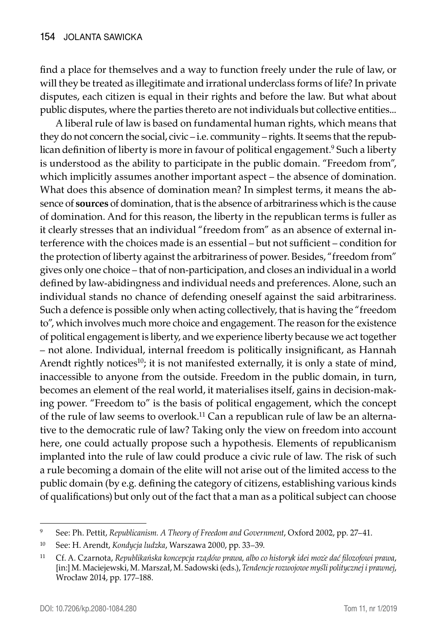find a place for themselves and a way to function freely under the rule of law, or will they be treated as illegitimate and irrational underclass forms of life? In private disputes, each citizen is equal in their rights and before the law. But what about public disputes, where the parties thereto are not individuals but collective entities...

A liberal rule of law is based on fundamental human rights, which means that they do not concern the social, civic – i.e. community – rights. It seems that the republican definition of liberty is more in favour of political engagement.<sup>9</sup> Such a liberty is understood as the ability to participate in the public domain. "Freedom from", which implicitly assumes another important aspect – the absence of domination. What does this absence of domination mean? In simplest terms, it means the absence of **sources** of domination, that is the absence of arbitrariness which is the cause of domination. And for this reason, the liberty in the republican terms is fuller as it clearly stresses that an individual "freedom from" as an absence of external interference with the choices made is an essential – but not sufficient – condition for the protection of liberty against the arbitrariness of power. Besides, "freedom from" gives only one choice – that of non-participation, and closes an individual in a world defined by law-abidingness and individual needs and preferences. Alone, such an individual stands no chance of defending oneself against the said arbitrariness. Such a defence is possible only when acting collectively, that is having the "freedom to", which involves much more choice and engagement. The reason for the existence of political engagement is liberty, and we experience liberty because we act together – not alone. Individual, internal freedom is politically insignificant, as Hannah Arendt rightly notices<sup>10</sup>; it is not manifested externally, it is only a state of mind, inaccessible to anyone from the outside. Freedom in the public domain, in turn, becomes an element of the real world, it materialises itself, gains in decision-making power. "Freedom to" is the basis of political engagement, which the concept of the rule of law seems to overlook.11 Can a republican rule of law be an alternative to the democratic rule of law? Taking only the view on freedom into account here, one could actually propose such a hypothesis. Elements of republicanism implanted into the rule of law could produce a civic rule of law. The risk of such a rule becoming a domain of the elite will not arise out of the limited access to the public domain (by e.g. defining the category of citizens, establishing various kinds of qualifications) but only out of the fact that a man as a political subject can choose

<sup>9</sup> See: Ph. Pettit, *Republicanism. A Theory of Freedom and Government*, Oxford 2002, pp. 27–41.

<sup>10</sup> See: H. Arendt, *Kondycja ludzka*, Warszawa 2000, pp. 33–39.

<sup>11</sup> Cf. A. Czarnota, *Republikańska koncepcja rządów prawa, albo co historyk idei może dać filozofowi prawa*, [in:] M. Maciejewski, M. Marszał, M. Sadowski (eds.), *Tendencje rozwojowe myśli politycznej i prawnej*, Wrocław 2014, pp. 177–188.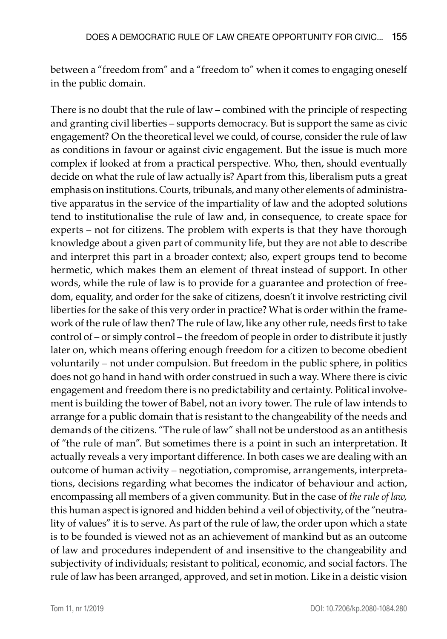between a "freedom from" and a "freedom to" when it comes to engaging oneself in the public domain.

There is no doubt that the rule of law – combined with the principle of respecting and granting civil liberties – supports democracy. But is support the same as civic engagement? On the theoretical level we could, of course, consider the rule of law as conditions in favour or against civic engagement. But the issue is much more complex if looked at from a practical perspective. Who, then, should eventually decide on what the rule of law actually is? Apart from this, liberalism puts a great emphasis on institutions. Courts, tribunals, and many other elements of administrative apparatus in the service of the impartiality of law and the adopted solutions tend to institutionalise the rule of law and, in consequence, to create space for experts – not for citizens. The problem with experts is that they have thorough knowledge about a given part of community life, but they are not able to describe and interpret this part in a broader context; also, expert groups tend to become hermetic, which makes them an element of threat instead of support. In other words, while the rule of law is to provide for a guarantee and protection of freedom, equality, and order for the sake of citizens, doesn't it involve restricting civil liberties for the sake of this very order in practice? What is order within the framework of the rule of law then? The rule of law, like any other rule, needs first to take control of – or simply control – the freedom of people in order to distribute it justly later on, which means offering enough freedom for a citizen to become obedient voluntarily – not under compulsion. But freedom in the public sphere, in politics does not go hand in hand with order construed in such a way. Where there is civic engagement and freedom there is no predictability and certainty. Political involvement is building the tower of Babel, not an ivory tower. The rule of law intends to arrange for a public domain that is resistant to the changeability of the needs and demands of the citizens. "The rule of law" shall not be understood as an antithesis of "the rule of man". But sometimes there is a point in such an interpretation. It actually reveals a very important difference. In both cases we are dealing with an outcome of human activity – negotiation, compromise, arrangements, interpretations, decisions regarding what becomes the indicator of behaviour and action, encompassing all members of a given community. But in the case of *the rule of law,* this human aspect is ignored and hidden behind a veil of objectivity, of the "neutrality of values" it is to serve. As part of the rule of law, the order upon which a state is to be founded is viewed not as an achievement of mankind but as an outcome of law and procedures independent of and insensitive to the changeability and subjectivity of individuals; resistant to political, economic, and social factors. The rule of law has been arranged, approved, and set in motion. Like in a deistic vision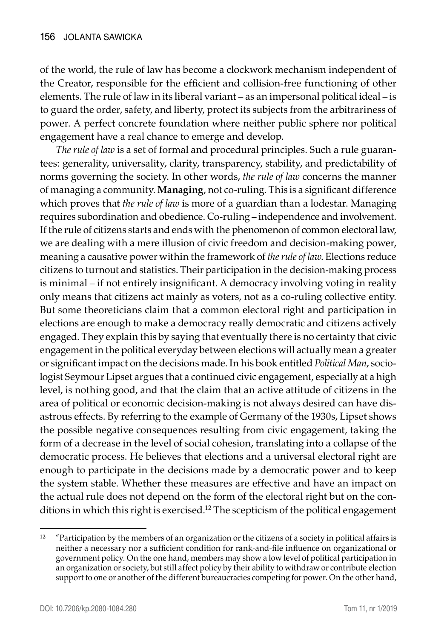of the world, the rule of law has become a clockwork mechanism independent of the Creator, responsible for the efficient and collision-free functioning of other elements. The rule of law in its liberal variant – as an impersonal political ideal – is to guard the order, safety, and liberty, protect its subjects from the arbitrariness of power. A perfect concrete foundation where neither public sphere nor political engagement have a real chance to emerge and develop.

*The rule of law* is a set of formal and procedural principles. Such a rule guarantees: generality, universality, clarity, transparency, stability, and predictability of norms governing the society. In other words, *the rule of law* concerns the manner of managing a community. **Managing**, not co-ruling. This is a significant difference which proves that *the rule of law* is more of a guardian than a lodestar. Managing requires subordination and obedience. Co-ruling – independence and involvement. If the rule of citizens starts and ends with the phenomenon of common electoral law, we are dealing with a mere illusion of civic freedom and decision-making power, meaning a causative power within the framework of *the rule of law*. Elections reduce citizens to turnout and statistics. Their participation in the decision-making process is minimal – if not entirely insignificant. A democracy involving voting in reality only means that citizens act mainly as voters, not as a co-ruling collective entity. But some theoreticians claim that a common electoral right and participation in elections are enough to make a democracy really democratic and citizens actively engaged. They explain this by saying that eventually there is no certainty that civic engagement in the political everyday between elections will actually mean a greater or significant impact on the decisions made. In his book entitled *Political Man*, sociologist Seymour Lipset argues that a continued civic engagement, especially at a high level, is nothing good, and that the claim that an active attitude of citizens in the area of political or economic decision-making is not always desired can have disastrous effects. By referring to the example of Germany of the 1930s, Lipset shows the possible negative consequences resulting from civic engagement, taking the form of a decrease in the level of social cohesion, translating into a collapse of the democratic process. He believes that elections and a universal electoral right are enough to participate in the decisions made by a democratic power and to keep the system stable. Whether these measures are effective and have an impact on the actual rule does not depend on the form of the electoral right but on the conditions in which this right is exercised.<sup>12</sup> The scepticism of the political engagement

<sup>&</sup>lt;sup>12</sup> "Participation by the members of an organization or the citizens of a society in political affairs is neither a necessary nor a sufficient condition for rank-and-file influence on organizational or government policy. On the one hand, members may show a low level of political participation in an organization or society, but still affect policy by their ability to withdraw or contribute election support to one or another of the different bureaucracies competing for power. On the other hand,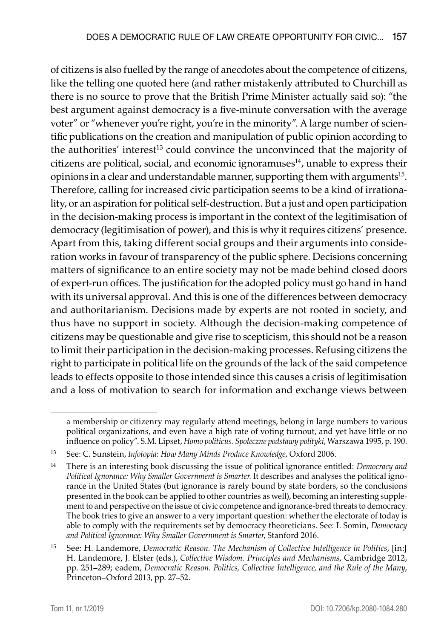of citizens is also fuelled by the range of anecdotes about the competence of citizens, like the telling one quoted here (and rather mistakenly attributed to Churchill as there is no source to prove that the British Prime Minister actually said so): "the best argument against democracy is a five-minute conversation with the average voter" or "whenever you're right, you're in the minority". A large number of scientific publications on the creation and manipulation of public opinion according to the authorities' interest<sup>13</sup> could convince the unconvinced that the majority of citizens are political, social, and economic ignoramuses $14$ , unable to express their opinions in a clear and understandable manner, supporting them with arguments<sup>15</sup>. Therefore, calling for increased civic participation seems to be a kind of irrationality, or an aspiration for political self-destruction. But a just and open participation in the decision-making process is important in the context of the legitimisation of democracy (legitimisation of power), and this is why it requires citizens' presence. Apart from this, taking different social groups and their arguments into consideration works in favour of transparency of the public sphere. Decisions concerning matters of significance to an entire society may not be made behind closed doors of expert-run offices. The justification for the adopted policy must go hand in hand with its universal approval. And this is one of the differences between democracy and authoritarianism. Decisions made by experts are not rooted in society, and thus have no support in society. Although the decision-making competence of citizens may be questionable and give rise to scepticism, this should not be a reason to limit their participation in the decision-making processes. Refusing citizens the right to participate in political life on the grounds of the lack of the said competence leads to effects opposite to those intended since this causes a crisis of legitimisation and a loss of motivation to search for information and exchange views between

a membership or citizenry may regularly attend meetings, belong in large numbers to various political organizations, and even have a high rate of voting turnout, and yet have little or no influence on policy". S.M. Lipset, *Homo politicus. Społeczne podstawy polityki*, Warszawa 1995, p. 190.

<sup>13</sup> See: C. Sunstein, *Infotopia: How Many Minds Produce Knowledge*, Oxford 2006.

<sup>14</sup> There is an interesting book discussing the issue of political ignorance entitled: *Democracy and Political Ignorance: Why Smaller Government is Smarter.* It describes and analyses the political ignorance in the United States (but ignorance is rarely bound by state borders, so the conclusions presented in the book can be applied to other countries as well), becoming an interesting supplement to and perspective on the issue of civic competence and ignorance-bred threats to democracy. The book tries to give an answer to a very important question: whether the electorate of today is able to comply with the requirements set by democracy theoreticians. See: I. Somin, *Democracy and Political Ignorance: Why Smaller Government is Smarter*, Stanford 2016.

<sup>15</sup> See: H. Landemore, *Democratic Reason. The Mechanism of Collective Intelligence in Politics*, [in:] H. Landemore, J. Elster (eds.), *Collective Wisdom. Principles and Mechanisms*, Cambridge 2012, pp. 251–289; eadem, *Democratic Reason. Politics, Collective Intelligence, and the Rule of the Many*, Princeton–Oxford 2013, pp. 27–52.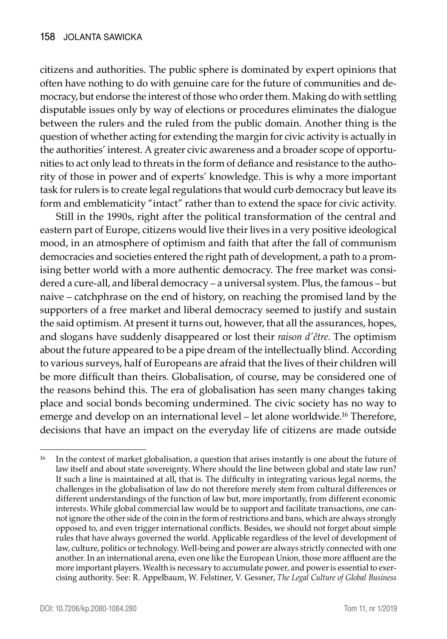citizens and authorities. The public sphere is dominated by expert opinions that often have nothing to do with genuine care for the future of communities and democracy, but endorse the interest of those who order them. Making do with settling disputable issues only by way of elections or procedures eliminates the dialogue between the rulers and the ruled from the public domain. Another thing is the question of whether acting for extending the margin for civic activity is actually in the authorities' interest. A greater civic awareness and a broader scope of opportunities to act only lead to threats in the form of defiance and resistance to the authority of those in power and of experts' knowledge. This is why a more important task for rulers is to create legal regulations that would curb democracy but leave its form and emblematicity "intact" rather than to extend the space for civic activity.

Still in the 1990s, right after the political transformation of the central and eastern part of Europe, citizens would live their lives in a very positive ideological mood, in an atmosphere of optimism and faith that after the fall of communism democracies and societies entered the right path of development, a path to a promising better world with a more authentic democracy. The free market was considered a cure-all, and liberal democracy – a universal system. Plus, the famous – but naive – catchphrase on the end of history, on reaching the promised land by the supporters of a free market and liberal democracy seemed to justify and sustain the said optimism. At present it turns out, however, that all the assurances, hopes, and slogans have suddenly disappeared or lost their *raison d'être*. The optimism about the future appeared to be a pipe dream of the intellectually blind. According to various surveys, half of Europeans are afraid that the lives of their children will be more difficult than theirs. Globalisation, of course, may be considered one of the reasons behind this. The era of globalisation has seen many changes taking place and social bonds becoming undermined. The civic society has no way to emerge and develop on an international level – let alone worldwide.<sup>16</sup> Therefore, decisions that have an impact on the everyday life of citizens are made outside

<sup>&</sup>lt;sup>16</sup> In the context of market globalisation, a question that arises instantly is one about the future of law itself and about state sovereignty. Where should the line between global and state law run? If such a line is maintained at all, that is. The difficulty in integrating various legal norms, the challenges in the globalisation of law do not therefore merely stem from cultural differences or different understandings of the function of law but, more importantly, from different economic interests. While global commercial law would be to support and facilitate transactions, one cannot ignore the other side of the coin in the form of restrictions and bans, which are always strongly opposed to, and even trigger international conflicts. Besides, we should not forget about simple rules that have always governed the world. Applicable regardless of the level of development of law, culture, politics or technology. Well-being and power are always strictly connected with one another. In an international arena, even one like the European Union, those more affluent are the more important players. Wealth is necessary to accumulate power, and power is essential to exercising authority. See: R. Appelbaum, W. Felstiner, V. Gessner, *The Legal Culture of Global Business*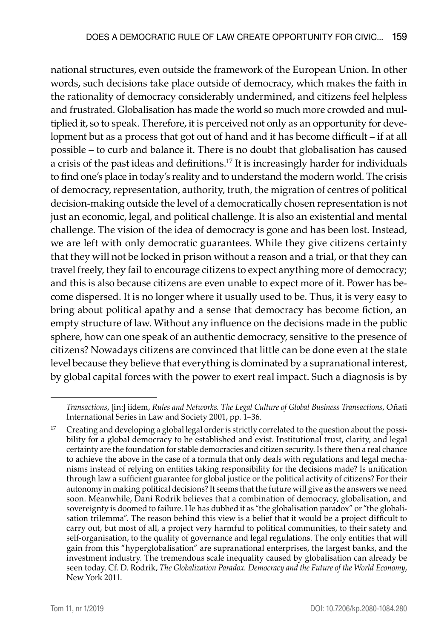national structures, even outside the framework of the European Union. In other words, such decisions take place outside of democracy, which makes the faith in the rationality of democracy considerably undermined, and citizens feel helpless and frustrated. Globalisation has made the world so much more crowded and multiplied it, so to speak. Therefore, it is perceived not only as an opportunity for development but as a process that got out of hand and it has become difficult – if at all possible – to curb and balance it. There is no doubt that globalisation has caused a crisis of the past ideas and definitions.17 It is increasingly harder for individuals to find one's place in today's reality and to understand the modern world. The crisis of democracy, representation, authority, truth, the migration of centres of political decision-making outside the level of a democratically chosen representation is not just an economic, legal, and political challenge. It is also an existential and mental challenge. The vision of the idea of democracy is gone and has been lost. Instead, we are left with only democratic guarantees. While they give citizens certainty that they will not be locked in prison without a reason and a trial, or that they can travel freely, they fail to encourage citizens to expect anything more of democracy; and this is also because citizens are even unable to expect more of it. Power has become dispersed. It is no longer where it usually used to be. Thus, it is very easy to bring about political apathy and a sense that democracy has become fiction, an empty structure of law. Without any influence on the decisions made in the public sphere, how can one speak of an authentic democracy, sensitive to the presence of citizens? Nowadays citizens are convinced that little can be done even at the state level because they believe that everything is dominated by a supranational interest, by global capital forces with the power to exert real impact. Such a diagnosis is by

*Transactions*, [in:] iidem, *Rules and Networks. The Legal Culture of Global Business Transactions*, Oñati International Series in Law and Society 2001, pp. 1–36.

<sup>&</sup>lt;sup>17</sup> Creating and developing a global legal order is strictly correlated to the question about the possibility for a global democracy to be established and exist. Institutional trust, clarity, and legal certainty are the foundation for stable democracies and citizen security. Is there then a real chance to achieve the above in the case of a formula that only deals with regulations and legal mechanisms instead of relying on entities taking responsibility for the decisions made? Is unification through law a sufficient guarantee for global justice or the political activity of citizens? For their autonomy in making political decisions? It seems that the future will give as the answers we need soon. Meanwhile, Dani Rodrik believes that a combination of democracy, globalisation, and sovereignty is doomed to failure. He has dubbed it as "the globalisation paradox" or "the globalisation trilemma". The reason behind this view is a belief that it would be a project difficult to carry out, but most of all, a project very harmful to political communities, to their safety and self-organisation, to the quality of governance and legal regulations. The only entities that will gain from this "hyperglobalisation" are supranational enterprises, the largest banks, and the investment industry. The tremendous scale inequality caused by globalisation can already be seen today. Cf. D. Rodrik, *The Globalization Paradox. Democracy and the Future of the World Economy*, New York 2011.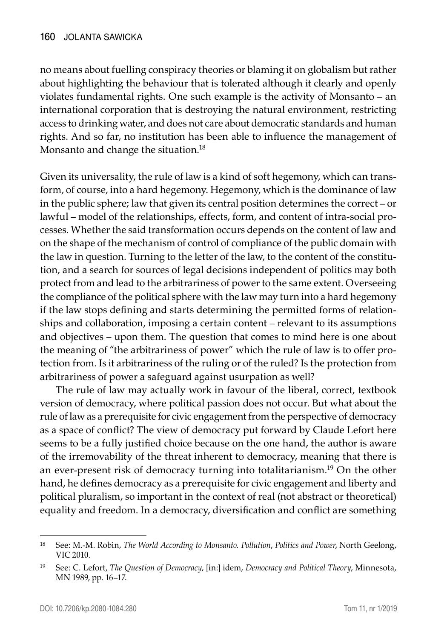no means about fuelling conspiracy theories or blaming it on globalism but rather about highlighting the behaviour that is tolerated although it clearly and openly violates fundamental rights. One such example is the activity of Monsanto – an international corporation that is destroying the natural environment, restricting access to drinking water, and does not care about democratic standards and human rights. And so far, no institution has been able to influence the management of Monsanto and change the situation.<sup>18</sup>

Given its universality, the rule of law is a kind of soft hegemony, which can transform, of course, into a hard hegemony. Hegemony, which is the dominance of law in the public sphere; law that given its central position determines the correct – or lawful – model of the relationships, effects, form, and content of intra-social processes. Whether the said transformation occurs depends on the content of law and on the shape of the mechanism of control of compliance of the public domain with the law in question. Turning to the letter of the law, to the content of the constitution, and a search for sources of legal decisions independent of politics may both protect from and lead to the arbitrariness of power to the same extent. Overseeing the compliance of the political sphere with the law may turn into a hard hegemony if the law stops defining and starts determining the permitted forms of relationships and collaboration, imposing a certain content – relevant to its assumptions and objectives – upon them. The question that comes to mind here is one about the meaning of "the arbitrariness of power" which the rule of law is to offer protection from. Is it arbitrariness of the ruling or of the ruled? Is the protection from arbitrariness of power a safeguard against usurpation as well?

The rule of law may actually work in favour of the liberal, correct, textbook version of democracy, where political passion does not occur. But what about the rule of law as a prerequisite for civic engagement from the perspective of democracy as a space of conflict? The view of democracy put forward by Claude Lefort here seems to be a fully justified choice because on the one hand, the author is aware of the irremovability of the threat inherent to democracy, meaning that there is an ever-present risk of democracy turning into totalitarianism.19 On the other hand, he defines democracy as a prerequisite for civic engagement and liberty and political pluralism, so important in the context of real (not abstract or theoretical) equality and freedom. In a democracy, diversification and conflict are something

<sup>18</sup> See: M.-M. Robin, *The World According to Monsanto. Pollution*, *Politics and Power*, North Geelong, VIC 2010.

<sup>19</sup> See: C. Lefort, *The Question of Democracy*, [in:] idem, *Democracy and Political Theory*, Minnesota, MN 1989, pp. 16–17.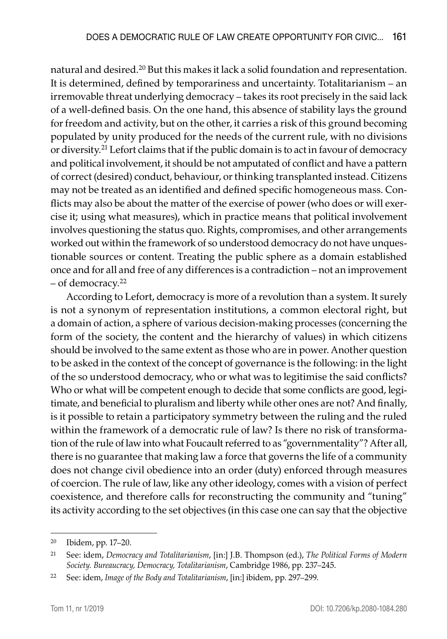natural and desired.<sup>20</sup> But this makes it lack a solid foundation and representation. It is determined, defined by temporariness and uncertainty. Totalitarianism – an irremovable threat underlying democracy – takes its root precisely in the said lack of a well-defined basis. On the one hand, this absence of stability lays the ground for freedom and activity, but on the other, it carries a risk of this ground becoming populated by unity produced for the needs of the current rule, with no divisions or diversity.21 Lefort claims that if the public domain is to act in favour of democracy and political involvement, it should be not amputated of conflict and have a pattern of correct (desired) conduct, behaviour, or thinking transplanted instead. Citizens may not be treated as an identified and defined specific homogeneous mass. Conflicts may also be about the matter of the exercise of power (who does or will exercise it; using what measures), which in practice means that political involvement involves questioning the status quo. Rights, compromises, and other arrangements worked out within the framework of so understood democracy do not have unquestionable sources or content. Treating the public sphere as a domain established once and for all and free of any differences is a contradiction – not an improvement – of democracy.22

According to Lefort, democracy is more of a revolution than a system. It surely is not a synonym of representation institutions, a common electoral right, but a domain of action, a sphere of various decision-making processes (concerning the form of the society, the content and the hierarchy of values) in which citizens should be involved to the same extent as those who are in power. Another question to be asked in the context of the concept of governance is the following: in the light of the so understood democracy, who or what was to legitimise the said conflicts? Who or what will be competent enough to decide that some conflicts are good, legitimate, and beneficial to pluralism and liberty while other ones are not? And finally, is it possible to retain a participatory symmetry between the ruling and the ruled within the framework of a democratic rule of law? Is there no risk of transformation of the rule of law into what Foucault referred to as "governmentality"? After all, there is no guarantee that making law a force that governs the life of a community does not change civil obedience into an order (duty) enforced through measures of coercion. The rule of law, like any other ideology, comes with a vision of perfect coexistence, and therefore calls for reconstructing the community and "tuning" its activity according to the set objectives (in this case one can say that the objective

<sup>20</sup> Ibidem, pp. 17–20.

<sup>21</sup> See: idem, *Democracy and Totalitarianism*, [in:] J.B. Thompson (ed.), *The Political Forms of Modern Society. Bureaucracy, Democracy, Totalitarianism*, Cambridge 1986, pp. 237–245.

<sup>22</sup> See: idem, *Image of the Body and Totalitarianism*, [in:] ibidem, pp. 297–299.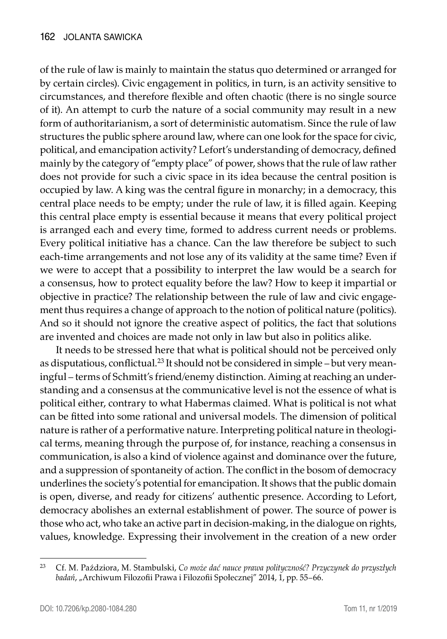of the rule of law is mainly to maintain the status quo determined or arranged for by certain circles). Civic engagement in politics, in turn, is an activity sensitive to circumstances, and therefore flexible and often chaotic (there is no single source of it). An attempt to curb the nature of a social community may result in a new form of authoritarianism, a sort of deterministic automatism. Since the rule of law structures the public sphere around law, where can one look for the space for civic, political, and emancipation activity? Lefort's understanding of democracy, defined mainly by the category of "empty place" of power, shows that the rule of law rather does not provide for such a civic space in its idea because the central position is occupied by law. A king was the central figure in monarchy; in a democracy, this central place needs to be empty; under the rule of law, it is filled again. Keeping this central place empty is essential because it means that every political project is arranged each and every time, formed to address current needs or problems. Every political initiative has a chance. Can the law therefore be subject to such each-time arrangements and not lose any of its validity at the same time? Even if we were to accept that a possibility to interpret the law would be a search for a consensus, how to protect equality before the law? How to keep it impartial or objective in practice? The relationship between the rule of law and civic engagement thus requires a change of approach to the notion of political nature (politics). And so it should not ignore the creative aspect of politics, the fact that solutions are invented and choices are made not only in law but also in politics alike.

It needs to be stressed here that what is political should not be perceived only as disputatious, conflictual.23 It should not be considered in simple – but very meaningful – terms of Schmitt's friend/enemy distinction. Aiming at reaching an understanding and a consensus at the communicative level is not the essence of what is political either, contrary to what Habermas claimed. What is political is not what can be fitted into some rational and universal models. The dimension of political nature is rather of a performative nature. Interpreting political nature in theological terms, meaning through the purpose of, for instance, reaching a consensus in communication, is also a kind of violence against and dominance over the future, and a suppression of spontaneity of action. The conflict in the bosom of democracy underlines the society's potential for emancipation. It shows that the public domain is open, diverse, and ready for citizens' authentic presence. According to Lefort, democracy abolishes an external establishment of power. The source of power is those who act, who take an active part in decision-making, in the dialogue on rights, values, knowledge. Expressing their involvement in the creation of a new order

<sup>23</sup> Cf. M. Paździora, M. Stambulski, *Co może dać nauce prawa polityczność? Przyczynek do przyszłych*  badań, "Archiwum Filozofii Prawa i Filozofii Społecznej" 2014, 1, pp. 55–66.